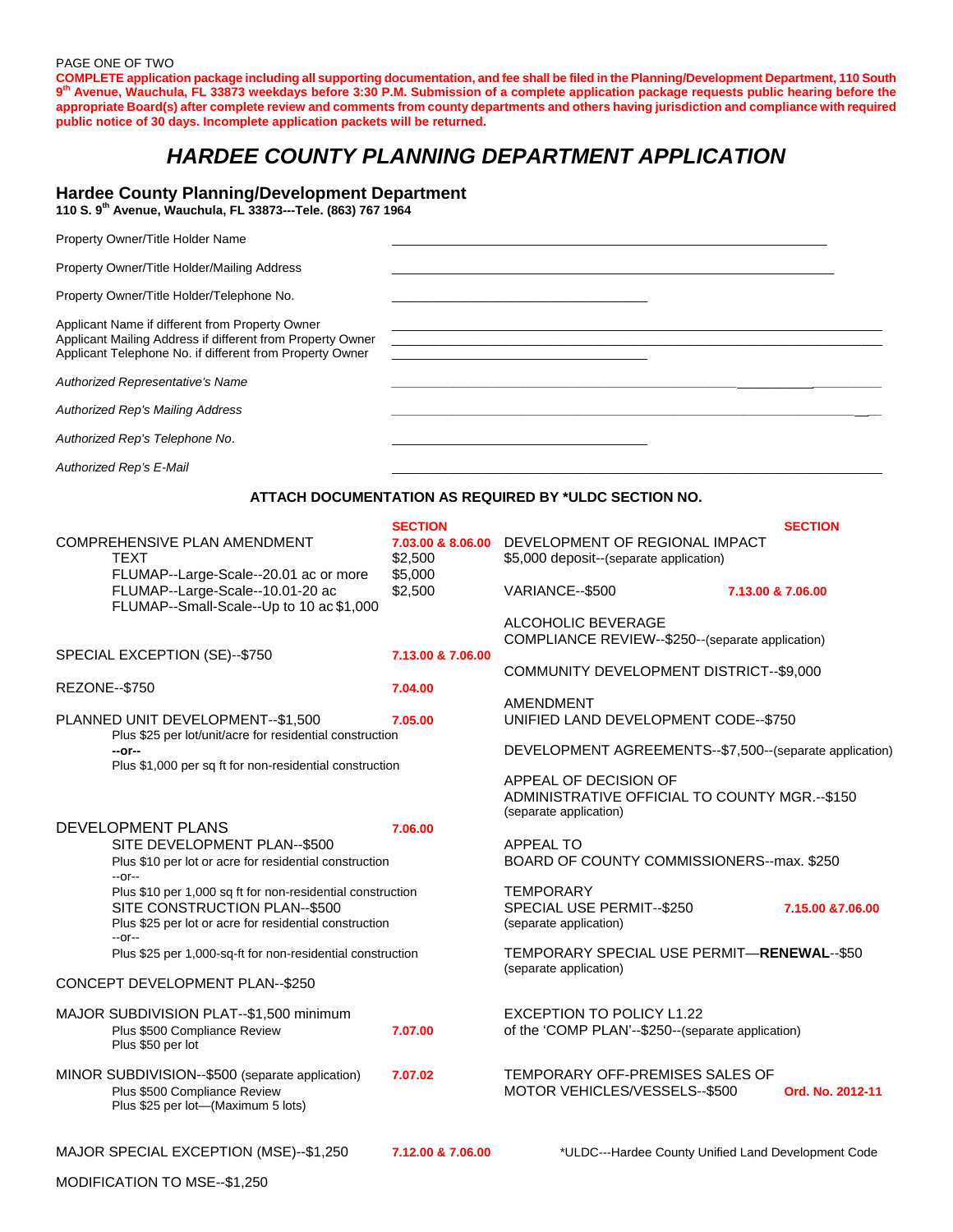PAGE ONE OF TWO

**COMPLETE application package including all supporting documentation, and fee shall be filed in the Planning/Development Department, 110 South 9th Avenue, Wauchula, FL 33873 weekdays before 3:30 P.M. Submission of a complete application package requests public hearing before the appropriate Board(s) after complete review and comments from county departments and others having jurisdiction and compliance with required public notice of 30 days. Incomplete application packets will be returned.** 

# *HARDEE COUNTY PLANNING DEPARTMENT APPLICATION*

### **Hardee County Planning/Development Department**

**110 S. 9th Avenue, Wauchula, FL 33873---Tele. (863) 767 1964**

| Property Owner/Title Holder Name                                                                                                                                          |                                                        |  |
|---------------------------------------------------------------------------------------------------------------------------------------------------------------------------|--------------------------------------------------------|--|
| Property Owner/Title Holder/Mailing Address                                                                                                                               |                                                        |  |
| Property Owner/Title Holder/Telephone No.                                                                                                                                 |                                                        |  |
| Applicant Name if different from Property Owner<br>Applicant Mailing Address if different from Property Owner<br>Applicant Telephone No. if different from Property Owner | <u> 1989 - Jan Barnett, fransk politiker (d. 1989)</u> |  |
| Authorized Representative's Name                                                                                                                                          |                                                        |  |
| Authorized Rep's Mailing Address                                                                                                                                          |                                                        |  |
| Authorized Rep's Telephone No.                                                                                                                                            |                                                        |  |
| Authorized Rep's E-Mail                                                                                                                                                   |                                                        |  |

### **ATTACH DOCUMENTATION AS REQUIRED BY \*ULDC SECTION NO.**

|                                                                                                                                                                 | <b>SECTION</b>               |                                                                                                  | <b>SECTION</b>                                      |
|-----------------------------------------------------------------------------------------------------------------------------------------------------------------|------------------------------|--------------------------------------------------------------------------------------------------|-----------------------------------------------------|
| <b>COMPREHENSIVE PLAN AMENDMENT</b><br><b>TEXT</b>                                                                                                              | 7.03.00 & 8.06.00<br>\$2,500 | DEVELOPMENT OF REGIONAL IMPACT<br>\$5,000 deposit--(separate application)                        |                                                     |
| FLUMAP--Large-Scale--20.01 ac or more<br>FLUMAP--Large-Scale--10.01-20 ac<br>FLUMAP--Small-Scale--Up to 10 ac \$1,000                                           | \$5,000<br>\$2,500           | VARIANCE--\$500                                                                                  | 7.13.00 & 7.06.00                                   |
|                                                                                                                                                                 |                              | ALCOHOLIC BEVERAGE<br>COMPLIANCE REVIEW--\$250--(separate application)                           |                                                     |
| SPECIAL EXCEPTION (SE)--\$750                                                                                                                                   | 7.13.00 & 7.06.00            | COMMUNITY DEVELOPMENT DISTRICT--\$9,000                                                          |                                                     |
| <b>REZONE--\$750</b>                                                                                                                                            | 7.04.00                      |                                                                                                  |                                                     |
| PLANNED UNIT DEVELOPMENT--\$1,500<br>Plus \$25 per lot/unit/acre for residential construction                                                                   | 7.05.00                      | <b>AMENDMENT</b><br>UNIFIED LAND DEVELOPMENT CODE--\$750                                         |                                                     |
| --or--                                                                                                                                                          |                              | DEVELOPMENT AGREEMENTS--\$7,500--(separate application)                                          |                                                     |
| Plus \$1,000 per sq ft for non-residential construction                                                                                                         |                              | APPEAL OF DECISION OF<br>ADMINISTRATIVE OFFICIAL TO COUNTY MGR.--\$150<br>(separate application) |                                                     |
| DEVELOPMENT PLANS                                                                                                                                               | 7.06.00                      |                                                                                                  |                                                     |
| SITE DEVELOPMENT PLAN--\$500<br>Plus \$10 per lot or acre for residential construction<br>$-0r-$                                                                |                              | <b>APPEAL TO</b><br>BOARD OF COUNTY COMMISSIONERS--max, \$250                                    |                                                     |
| Plus \$10 per 1,000 sq ft for non-residential construction<br>SITE CONSTRUCTION PLAN--\$500<br>Plus \$25 per lot or acre for residential construction<br>$-0r-$ |                              | <b>TEMPORARY</b><br>SPECIAL USE PERMIT--\$250<br>(separate application)                          | 7.15.00 & 7.06.00                                   |
| Plus \$25 per 1,000-sq-ft for non-residential construction                                                                                                      |                              | TEMPORARY SPECIAL USE PERMIT-RENEWAL--\$50<br>(separate application)                             |                                                     |
| CONCEPT DEVELOPMENT PLAN--\$250                                                                                                                                 |                              |                                                                                                  |                                                     |
| MAJOR SUBDIVISION PLAT--\$1,500 minimum<br>Plus \$500 Compliance Review<br>Plus \$50 per lot                                                                    | 7.07.00                      | <b>EXCEPTION TO POLICY L1.22</b><br>of the 'COMP PLAN'--\$250--(separate application)            |                                                     |
| MINOR SUBDIVISION--\$500 (separate application)<br>Plus \$500 Compliance Review<br>Plus \$25 per lot-(Maximum 5 lots)                                           | 7.07.02                      | TEMPORARY OFF-PREMISES SALES OF<br>MOTOR VEHICLES/VESSELS--\$500                                 | Ord. No. 2012-11                                    |
| MAJOR SPECIAL EXCEPTION (MSE)--\$1,250                                                                                                                          | 7.12.00 & 7.06.00            |                                                                                                  | *ULDC---Hardee County Unified Land Development Code |